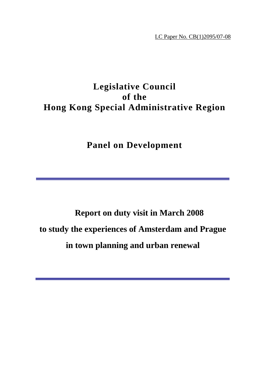LC Paper No. CB(1)2095/07-08

# **Legislative Council of the Hong Kong Special Administrative Region**

**Panel on Development**

# **Report on duty visit in March 2008 to study the experiences of Amsterdam and Prague in town planning and urban renewal**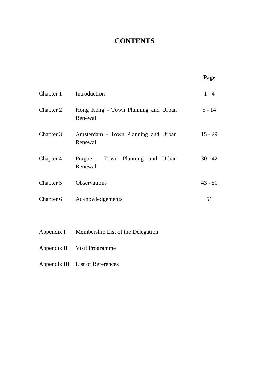# **CONTENTS**

|            |                                                | Page      |
|------------|------------------------------------------------|-----------|
| Chapter 1  | Introduction                                   | $1 - 4$   |
| Chapter 2  | Hong Kong - Town Planning and Urban<br>Renewal | $5 - 14$  |
| Chapter 3  | Amsterdam - Town Planning and Urban<br>Renewal | $15 - 29$ |
| Chapter 4  | Prague - Town Planning and Urban<br>Renewal    | $30 - 42$ |
| Chapter 5  | <b>Observations</b>                            | $43 - 50$ |
| Chapter 6  | Acknowledgements                               | 51        |
|            |                                                |           |
| Appendix I | Membership List of the Delegation              |           |

- Appendix II Visit Programme
- Appendix III List of References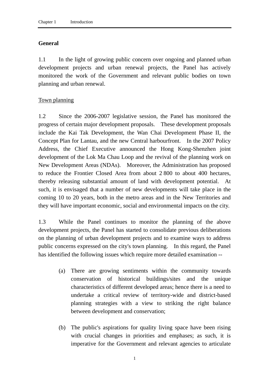#### **General**

1.1 In the light of growing public concern over ongoing and planned urban development projects and urban renewal projects, the Panel has actively monitored the work of the Government and relevant public bodies on town planning and urban renewal.

#### Town planning

1.2 Since the 2006-2007 legislative session, the Panel has monitored the progress of certain major development proposals. These development proposals include the Kai Tak Development, the Wan Chai Development Phase II, the Concept Plan for Lantau, and the new Central harbourfront. In the 2007 Policy Address, the Chief Executive announced the Hong Kong-Shenzhen joint development of the Lok Ma Chau Loop and the revival of the planning work on New Development Areas (NDAs). Moreover, the Administration has proposed to reduce the Frontier Closed Area from about 2 800 to about 400 hectares, thereby releasing substantial amount of land with development potential. At such, it is envisaged that a number of new developments will take place in the coming 10 to 20 years, both in the metro areas and in the New Territories and they will have important economic, social and environmental impacts on the city.

1.3 While the Panel continues to monitor the planning of the above development projects, the Panel has started to consolidate previous deliberations on the planning of urban development projects and to examine ways to address public concerns expressed on the city's town planning. In this regard, the Panel has identified the following issues which require more detailed examination --

- (a) There are growing sentiments within the community towards conservation of historical buildings/sites and the unique characteristics of different developed areas; hence there is a need to undertake a critical review of territory-wide and district-based planning strategies with a view to striking the right balance between development and conservation;
- (b) The public's aspirations for quality living space have been rising with crucial changes in priorities and emphases; as such, it is imperative for the Government and relevant agencies to articulate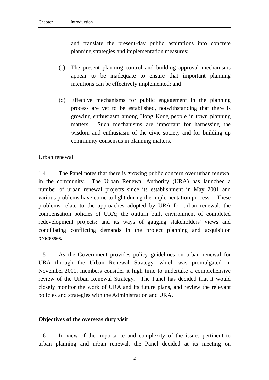and translate the present-day public aspirations into concrete planning strategies and implementation measures;

- (c) The present planning control and building approval mechanisms appear to be inadequate to ensure that important planning intentions can be effectively implemented; and
- (d) Effective mechanisms for public engagement in the planning process are yet to be established, notwithstanding that there is growing enthusiasm among Hong Kong people in town planning matters. Such mechanisms are important for harnessing the wisdom and enthusiasm of the civic society and for building up community consensus in planning matters.

#### Urban renewal

1.4 The Panel notes that there is growing public concern over urban renewal in the community. The Urban Renewal Authority (URA) has launched a number of urban renewal projects since its establishment in May 2001 and various problems have come to light during the implementation process. These problems relate to the approaches adopted by URA for urban renewal; the compensation policies of URA; the outturn built environment of completed redevelopment projects; and its ways of gauging stakeholders' views and conciliating conflicting demands in the project planning and acquisition processes.

1.5 As the Government provides policy guidelines on urban renewal for URA through the Urban Renewal Strategy, which was promulgated in November 2001, members consider it high time to undertake a comprehensive review of the Urban Renewal Strategy. The Panel has decided that it would closely monitor the work of URA and its future plans, and review the relevant policies and strategies with the Administration and URA.

#### **Objectives of the overseas duty visit**

1.6 In view of the importance and complexity of the issues pertinent to urban planning and urban renewal, the Panel decided at its meeting on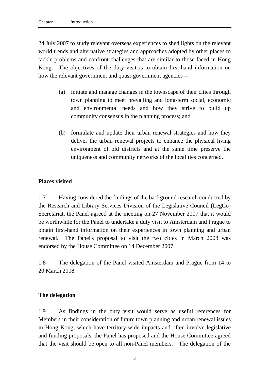24 July 2007 to study relevant overseas experiences to shed lights on the relevant world trends and alternative strategies and approaches adopted by other places to tackle problems and confront challenges that are similar to those faced in Hong Kong. The objectives of the duty visit is to obtain first-hand information on how the relevant government and quasi-government agencies --

- (a) initiate and manage changes in the townscape of their cities through town planning to meet prevailing and long-term social, economic and environmental needs and how they strive to build up community consensus in the planning process; and
- (b) formulate and update their urban renewal strategies and how they deliver the urban renewal projects to enhance the physical living environment of old districts and at the same time preserve the uniqueness and community networks of the localities concerned.

#### **Places visited**

1.7 Having considered the findings of the background research conducted by the Research and Library Services Division of the Legislative Council (LegCo) Secretariat, the Panel agreed at the meeting on 27 November 2007 that it would be worthwhile for the Panel to undertake a duty visit to Amsterdam and Prague to obtain first-hand information on their experiences in town planning and urban renewal. The Panel's proposal to visit the two cities in March 2008 was endorsed by the House Committee on 14 December 2007.

1.8 The delegation of the Panel visited Amsterdam and Prague from 14 to 20 March 2008.

#### **The delegation**

1.9 As findings in the duty visit would serve as useful references for Members in their consideration of future town planning and urban renewal issues in Hong Kong, which have territory-wide impacts and often involve legislative and funding proposals, the Panel has proposed and the House Committee agreed that the visit should be open to all non-Panel members. The delegation of the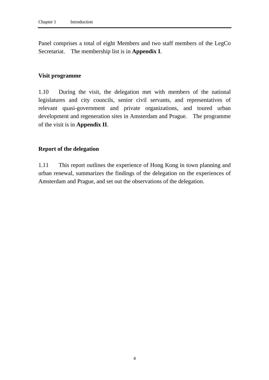Panel comprises a total of eight Members and two staff members of the LegCo Secretariat. The membership list is in **Appendix I**.

#### **Visit programme**

1.10 During the visit, the delegation met with members of the national legislatures and city councils, senior civil servants, and representatives of relevant quasi-government and private organizations, and toured urban development and regeneration sites in Amsterdam and Prague. The programme of the visit is in **Appendix II**.

#### **Report of the delegation**

1.11 This report outlines the experience of Hong Kong in town planning and urban renewal, summarizes the findings of the delegation on the experiences of Amsterdam and Prague, and set out the observations of the delegation.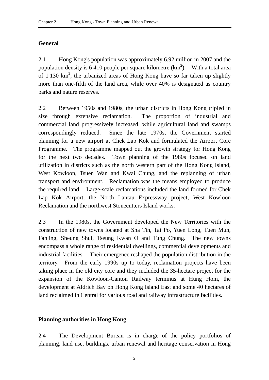#### **General**

2.1 Hong Kong's population was approximately 6.92 million in 2007 and the population density is 6 410 people per square kilometre  $(km^2)$ . With a total area of 1 130  $\text{km}^2$ , the urbanized areas of Hong Kong have so far taken up slightly more than one-fifth of the land area, while over 40% is designated as country parks and nature reserves.

2.2 Between 1950s and 1980s, the urban districts in Hong Kong tripled in size through extensive reclamation. The proportion of industrial and commercial land progressively increased, while agricultural land and swamps correspondingly reduced. Since the late 1970s, the Government started planning for a new airport at Chek Lap Kok and formulated the Airport Core Programme. The programme mapped out the growth strategy for Hong Kong for the next two decades. Town planning of the 1980s focused on land utilization in districts such as the north western part of the Hong Kong Island, West Kowloon, Tsuen Wan and Kwai Chung, and the replanning of urban transport and environment. Reclamation was the means employed to produce the required land. Large-scale reclamations included the land formed for Chek Lap Kok Airport, the North Lantau Expressway project, West Kowloon Reclamation and the northwest Stonecutters Island works.

2.3 In the 1980s, the Government developed the New Territories with the construction of new towns located at Sha Tin, Tai Po, Yuen Long, Tuen Mun, Fanling, Sheung Shui, Tseung Kwan O and Tung Chung. The new towns encompass a whole range of residential dwellings, commercial developments and industrial facilities. Their emergence reshaped the population distribution in the territory. From the early 1990s up to today, reclamation projects have been taking place in the old city core and they included the 35-hectare project for the expansion of the Kowloon-Canton Railway terminus at Hung Hom, the development at Aldrich Bay on Hong Kong Island East and some 40 hectares of land reclaimed in Central for various road and railway infrastructure facilities.

#### **Planning authorities in Hong Kong**

2.4 The Development Bureau is in charge of the policy portfolios of planning, land use, buildings, urban renewal and heritage conservation in Hong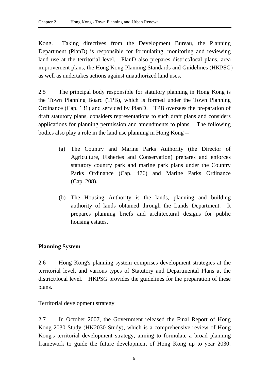Kong. Taking directives from the Development Bureau, the Planning Department (PlanD) is responsible for formulating, monitoring and reviewing land use at the territorial level. PlanD also prepares district/local plans, area improvement plans, the Hong Kong Planning Standards and Guidelines (HKPSG) as well as undertakes actions against unauthorized land uses.

2.5 The principal body responsible for statutory planning in Hong Kong is the Town Planning Board (TPB), which is formed under the Town Planning Ordinance (Cap. 131) and serviced by PlanD. TPB oversees the preparation of draft statutory plans, considers representations to such draft plans and considers applications for planning permission and amendments to plans. The following bodies also play a role in the land use planning in Hong Kong --

- (a) The Country and Marine Parks Authority (the Director of Agriculture, Fisheries and Conservation) prepares and enforces statutory country park and marine park plans under the Country Parks Ordinance (Cap. 476) and Marine Parks Ordinance (Cap. 208).
- (b) The Housing Authority is the lands, planning and building authority of lands obtained through the Lands Department. It prepares planning briefs and architectural designs for public housing estates.

# **Planning System**

2.6 Hong Kong's planning system comprises development strategies at the territorial level, and various types of Statutory and Departmental Plans at the district/local level. HKPSG provides the guidelines for the preparation of these plans.

#### Territorial development strategy

2.7 In October 2007, the Government released the Final Report of Hong Kong 2030 Study (HK2030 Study), which is a comprehensive review of Hong Kong's territorial development strategy, aiming to formulate a broad planning framework to guide the future development of Hong Kong up to year 2030.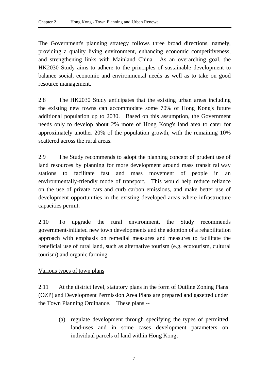The Government's planning strategy follows three broad directions, namely, providing a quality living environment, enhancing economic competitiveness, and strengthening links with Mainland China. As an overarching goal, the HK2030 Study aims to adhere to the principles of sustainable development to balance social, economic and environmental needs as well as to take on good resource management.

2.8 The HK2030 Study anticipates that the existing urban areas including the existing new towns can accommodate some 70% of Hong Kong's future additional population up to 2030. Based on this assumption, the Government needs only to develop about 2% more of Hong Kong's land area to cater for approximately another 20% of the population growth, with the remaining 10% scattered across the rural areas.

2.9 The Study recommends to adopt the planning concept of prudent use of land resources by planning for more development around mass transit railway stations to facilitate fast and mass movement of people in an environmentally-friendly mode of transport. This would help reduce reliance on the use of private cars and curb carbon emissions, and make better use of development opportunities in the existing developed areas where infrastructure capacities permit.

2.10 To upgrade the rural environment, the Study recommends government-initiated new town developments and the adoption of a rehabilitation approach with emphasis on remedial measures and measures to facilitate the beneficial use of rural land, such as alternative tourism (e.g. ecotourism, cultural tourism) and organic farming.

#### Various types of town plans

2.11 At the district level, statutory plans in the form of Outline Zoning Plans (OZP) and Development Permission Area Plans are prepared and gazetted under the Town Planning Ordinance. These plans --

> (a) regulate development through specifying the types of permitted land-uses and in some cases development parameters on individual parcels of land within Hong Kong;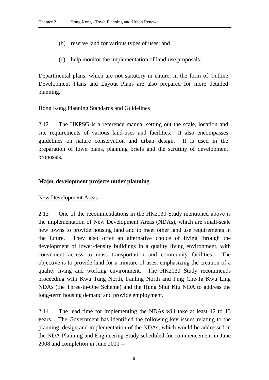- (b) reserve land for various types of uses; and
- (c) help monitor the implementation of land-use proposals.

Departmental plans, which are not statutory in nature, in the form of Outline Development Plans and Layout Plans are also prepared for more detailed planning.

#### Hong Kong Planning Standards and Guidelines

2.12 The HKPSG is a reference manual setting out the scale, location and site requirements of various land-uses and facilities. It also encompasses guidelines on nature conservation and urban design. It is used in the preparation of town plans, planning briefs and the scrutiny of development proposals.

#### **Major development projects under planning**

#### New Development Areas

2.13 One of the recommendations in the HK2030 Study mentioned above is the implementation of New Development Areas (NDAs), which are small-scale new towns to provide housing land and to meet other land use requirements in the future. They also offer an alternative choice of living through the development of lower-density buildings in a quality living environment, with convenient access to mass transportation and community facilities. The objective is to provide land for a mixture of uses, emphasizing the creation of a quality living and working environment. The HK2030 Study recommends proceeding with Kwu Tung North, Fanling North and Ping Che/Ta Kwu Ling NDAs (the Three-in-One Scheme) and the Hung Shui Kiu NDA to address the long-term housing demand and provide employment.

2.14 The lead time for implementing the NDAs will take at least 12 to 13 years. The Government has identified the following key issues relating to the planning, design and implementation of the NDAs, which would be addressed in the NDA Planning and Engineering Study scheduled for commencement in June 2008 and completion in June 2011 --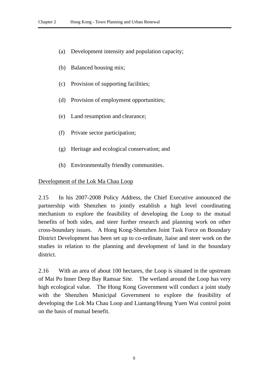- (a) Development intensity and population capacity;
- (b) Balanced housing mix;
- (c) Provision of supporting facilities;
- (d) Provision of employment opportunities;
- (e) Land resumption and clearance;
- (f) Private sector participation;
- (g) Heritage and ecological conservation; and
- (h) Environmentally friendly communities.

#### Development of the Lok Ma Chau Loop

2.15 In his 2007-2008 Policy Address, the Chief Executive announced the partnership with Shenzhen to jointly establish a high level coordinating mechanism to explore the feasibility of developing the Loop to the mutual benefits of both sides, and steer further research and planning work on other cross-boundary issues. A Hong Kong-Shenzhen Joint Task Force on Boundary District Development has been set up to co-ordinate, liaise and steer work on the studies in relation to the planning and development of land in the boundary district.

2.16 With an area of about 100 hectares, the Loop is situated in the upstream of Mai Po Inner Deep Bay Ramsar Site. The wetland around the Loop has very high ecological value. The Hong Kong Government will conduct a joint study with the Shenzhen Municipal Government to explore the feasibility of developing the Lok Ma Chau Loop and Liantang/Heung Yuen Wai control point on the basis of mutual benefit.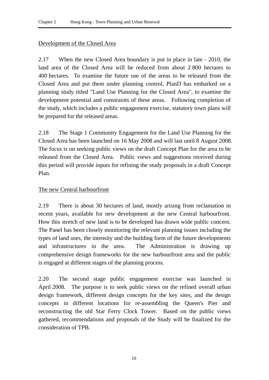### Development of the Closed Area

2.17 When the new Closed Area boundary is put in place in late - 2010, the land area of the Closed Area will be reduced from about 2 800 hectares to 400 hectares. To examine the future use of the areas to be released from the Closed Area and put them under planning control, PlanD has embarked on a planning study titled "Land Use Planning for the Closed Area", to examine the development potential and constraints of these areas. Following completion of the study, which includes a public engagement exercise, statutory town plans will be prepared for the released areas.

2.18 The Stage 1 Community Engagement for the Land Use Planning for the Closed Area has been launched on 16 May 2008 and will last until 8 August 2008. The focus is on seeking public views on the draft Concept Plan for the area to be released from the Closed Area. Public views and suggestions received during this period will provide inputs for refining the study proposals in a draft Concept Plan.

#### The new Central harbourfront

2.19 There is about 30 hectares of land, mostly arising from reclamation in recent years, available for new development at the new Central harbourfront. How this stretch of new land is to be developed has drawn wide public concern. The Panel has been closely monitoring the relevant planning issues including the types of land uses, the intensity and the building form of the future developments and infrastructures in the area. The Administration is drawing up comprehensive design frameworks for the new harbourfront area and the public is engaged at different stages of the planning process.

2.20 The second stage public engagement exercise was launched in April 2008. The purpose is to seek public views on the refined overall urban design framework, different design concepts for the key sites, and the design concepts in different locations for re-assembling the Queen's Pier and reconstructing the old Star Ferry Clock Tower. Based on the public views gathered, recommendations and proposals of the Study will be finalized for the consideration of TPB.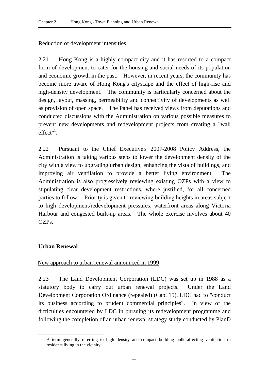#### Reduction of development intensities

2.21 Hong Kong is a highly compact city and it has resorted to a compact form of development to cater for the housing and social needs of its population and economic growth in the past. However, in recent years, the community has become more aware of Hong Kong's cityscape and the effect of high-rise and high-density development. The community is particularly concerned about the design, layout, massing, permeability and connectivity of developments as well as provision of open space. The Panel has received views from deputations and conducted discussions with the Administration on various possible measures to prevent new developments and redevelopment projects from creating a "wall  $effect''<sup>1</sup>$ .

2.22 Pursuant to the Chief Executive's 2007-2008 Policy Address, the Administration is taking various steps to lower the development density of the city with a view to upgrading urban design, enhancing the vista of buildings, and improving air ventilation to provide a better living environment. The Administration is also progressively reviewing existing OZPs with a view to stipulating clear development restrictions, where justified, for all concerned parties to follow. Priority is given to reviewing building heights in areas subject to high development/redevelopment pressures, waterfront areas along Victoria Harbour and congested built-up areas. The whole exercise involves about 40 OZPs.

#### **Urban Renewal**

#### New approach to urban renewal announced in 1999

2.23 The Land Development Corporation (LDC) was set up in 1988 as a statutory body to carry out urban renewal projects. Under the Land Development Corporation Ordinance (repealed) (Cap. 15), LDC had to "conduct its business according to prudent commercial principles". In view of the difficulties encountered by LDC in pursuing its redevelopment programme and following the completion of an urban renewal strategy study conducted by PlanD

 $\overline{a}$ 1 A term generally referring to high density and compact building bulk affecting ventilation to residents living in the vicinity.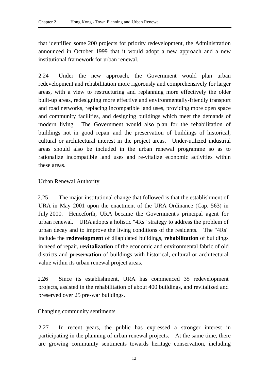that identified some 200 projects for priority redevelopment, the Administration announced in October 1999 that it would adopt a new approach and a new institutional framework for urban renewal.

2.24 Under the new approach, the Government would plan urban redevelopment and rehabilitation more rigorously and comprehensively for larger areas, with a view to restructuring and replanning more effectively the older built-up areas, redesigning more effective and environmentally-friendly transport and road networks, replacing incompatible land uses, providing more open space and community facilities, and designing buildings which meet the demands of modern living. The Government would also plan for the rehabilitation of buildings not in good repair and the preservation of buildings of historical, cultural or architectural interest in the project areas. Under-utilized industrial areas should also be included in the urban renewal programme so as to rationalize incompatible land uses and re-vitalize economic activities within these areas.

# Urban Renewal Authority

2.25 The major institutional change that followed is that the establishment of URA in May 2001 upon the enactment of the URA Ordinance (Cap. 563) in July 2000. Henceforth, URA became the Government's principal agent for urban renewal. URA adopts a holistic "4Rs" strategy to address the problem of urban decay and to improve the living conditions of the residents. The "4Rs" include the **redevelopment** of dilapidated buildings, **rehabilitation** of buildings in need of repair, **revitalization** of the economic and environmental fabric of old districts and **preservation** of buildings with historical, cultural or architectural value within its urban renewal project areas.

2.26 Since its establishment, URA has commenced 35 redevelopment projects, assisted in the rehabilitation of about 400 buildings, and revitalized and preserved over 25 pre-war buildings.

#### Changing community sentiments

2.27 In recent years, the public has expressed a stronger interest in participating in the planning of urban renewal projects. At the same time, there are growing community sentiments towards heritage conservation, including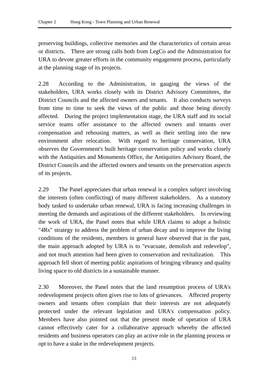preserving buildings, collective memories and the characteristics of certain areas or districts. There are strong calls both from LegCo and the Administration for URA to devote greater efforts in the community engagement process, particularly at the planning stage of its projects.

2.28 According to the Administration, in gauging the views of the stakeholders, URA works closely with its District Advisory Committees, the District Councils and the affected owners and tenants. It also conducts surveys from time to time to seek the views of the public and those being directly affected. During the project implementation stage, the URA staff and its social service teams offer assistance to the affected owners and tenants over compensation and rehousing matters, as well as their settling into the new environment after relocation. With regard to heritage conservation, URA observes the Government's built heritage conservation policy and works closely with the Antiquities and Monuments Office, the Antiquities Advisory Board, the District Councils and the affected owners and tenants on the preservation aspects of its projects.

2.29 The Panel appreciates that urban renewal is a complex subject involving the interests (often conflicting) of many different stakeholders. As a statutory body tasked to undertake urban renewal, URA is facing increasing challenges in meeting the demands and aspirations of the different stakeholders. In reviewing the work of URA, the Panel notes that while URA claims to adopt a holistic "4Rs" strategy to address the problem of urban decay and to improve the living conditions of the residents, members in general have observed that in the past, the main approach adopted by URA is to "evacuate, demolish and redevelop", and not much attention had been given to conservation and revitalization. This approach fell short of meeting public aspirations of bringing vibrancy and quality living space to old districts in a sustainable manner.

2.30 Moreover, the Panel notes that the land resumption process of URA's redevelopment projects often gives rise to lots of grievances. Affected property owners and tenants often complain that their interests are not adequately protected under the relevant legislation and URA's compensation policy. Members have also pointed out that the present mode of operation of URA cannot effectively cater for a collaborative approach whereby the affected residents and business operators can play an active role in the planning process or opt to have a stake in the redevelopment projects.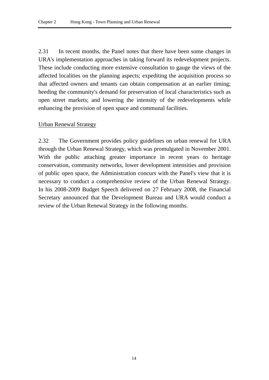2.31 In recent months, the Panel notes that there have been some changes in URA's implementation approaches in taking forward its redevelopment projects. These include conducting more extensive consultation to gauge the views of the affected localities on the planning aspects; expediting the acquisition process so that affected owners and tenants can obtain compensation at an earlier timing; heeding the community's demand for preservation of local characteristics such as open street markets; and lowering the intensity of the redevelopments while enhancing the provision of open space and communal facilities.

#### Urban Renewal Strategy

2.32 The Government provides policy guidelines on urban renewal for URA through the Urban Renewal Strategy, which was promulgated in November 2001. With the public attaching greater importance in recent years to heritage conservation, community networks, lower development intensities and provision of public open space, the Administration concurs with the Panel's view that it is necessary to conduct a comprehensive review of the Urban Renewal Strategy. In his 2008-2009 Budget Speech delivered on 27 February 2008, the Financial Secretary announced that the Development Bureau and URA would conduct a review of the Urban Renewal Strategy in the following months.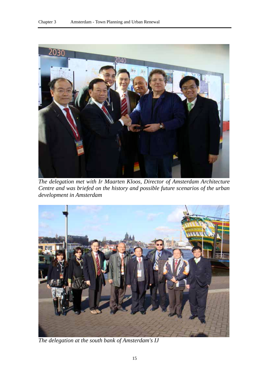

*The delegation met with Ir Maarten Kloos, Director of Amsterdam Architecture Centre and was briefed on the history and possible future scenarios of the urban development in Amsterdam* 



*The delegation at the south bank of Amsterdam's IJ*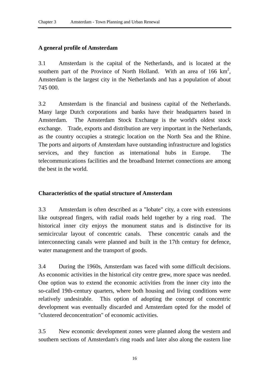# **A general profile of Amsterdam**

3.1 Amsterdam is the capital of the Netherlands, and is located at the southern part of the Province of North Holland. With an area of  $166 \text{ km}^2$ , Amsterdam is the largest city in the Netherlands and has a population of about 745 000.

3.2 Amsterdam is the financial and business capital of the Netherlands. Many large Dutch corporations and banks have their headquarters based in Amsterdam. The Amsterdam Stock Exchange is the world's oldest stock exchange. Trade, exports and distribution are very important in the Netherlands, as the country occupies a strategic location on the North Sea and the Rhine. The ports and airports of Amsterdam have outstanding infrastructure and logistics services, and they function as international hubs in Europe. The telecommunications facilities and the broadband Internet connections are among the best in the world.

### **Characteristics of the spatial structure of Amsterdam**

3.3 Amsterdam is often described as a "lobate" city, a core with extensions like outspread fingers, with radial roads held together by a ring road. The historical inner city enjoys the monument status and is distinctive for its semicircular layout of concentric canals. These concentric canals and the interconnecting canals were planned and built in the 17th century for defence, water management and the transport of goods.

3.4 During the 1960s, Amsterdam was faced with some difficult decisions. As economic activities in the historical city centre grew, more space was needed. One option was to extend the economic activities from the inner city into the so-called 19th-century quarters, where both housing and living conditions were relatively undesirable. This option of adopting the concept of concentric development was eventually discarded and Amsterdam opted for the model of "clustered deconcentration" of economic activities.

3.5 New economic development zones were planned along the western and southern sections of Amsterdam's ring roads and later also along the eastern line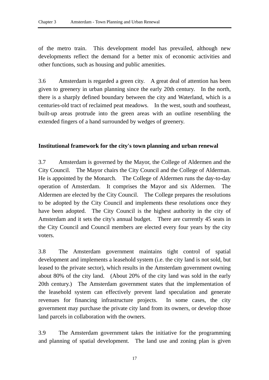of the metro train. This development model has prevailed, although new developments reflect the demand for a better mix of economic activities and other functions, such as housing and public amenities.

3.6 Amsterdam is regarded a green city. A great deal of attention has been given to greenery in urban planning since the early 20th century. In the north, there is a sharply defined boundary between the city and Waterland, which is a centuries-old tract of reclaimed peat meadows. In the west, south and southeast, built-up areas protrude into the green areas with an outline resembling the extended fingers of a hand surrounded by wedges of greenery.

#### **Institutional framework for the city's town planning and urban renewal**

3.7 Amsterdam is governed by the Mayor, the College of Aldermen and the City Council. The Mayor chairs the City Council and the College of Alderman. He is appointed by the Monarch. The College of Aldermen runs the day-to-day operation of Amsterdam. It comprises the Mayor and six Aldermen. The Aldermen are elected by the City Council. The College prepares the resolutions to be adopted by the City Council and implements these resolutions once they have been adopted. The City Council is the highest authority in the city of Amsterdam and it sets the city's annual budget. There are currently 45 seats in the City Council and Council members are elected every four years by the city voters.

3.8 The Amsterdam government maintains tight control of spatial development and implements a leasehold system (i.e. the city land is not sold, but leased to the private sector), which results in the Amsterdam government owning about 80% of the city land. (About 20% of the city land was sold in the early 20th century.) The Amsterdam government states that the implementation of the leasehold system can effectively prevent land speculation and generate revenues for financing infrastructure projects. In some cases, the city government may purchase the private city land from its owners, or develop those land parcels in collaboration with the owners.

3.9 The Amsterdam government takes the initiative for the programming and planning of spatial development. The land use and zoning plan is given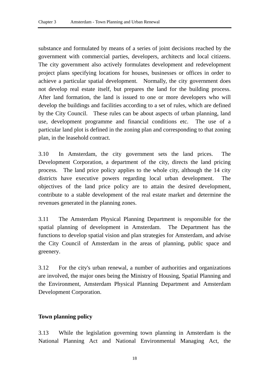substance and formulated by means of a series of joint decisions reached by the government with commercial parties, developers, architects and local citizens. The city government also actively formulates development and redevelopment project plans specifying locations for houses, businesses or offices in order to achieve a particular spatial development. Normally, the city government does not develop real estate itself, but prepares the land for the building process. After land formation, the land is issued to one or more developers who will develop the buildings and facilities according to a set of rules, which are defined by the City Council. These rules can be about aspects of urban planning, land use, development programme and financial conditions etc. The use of a particular land plot is defined in the zoning plan and corresponding to that zoning plan, in the leasehold contract.

3.10 In Amsterdam, the city government sets the land prices. The Development Corporation, a department of the city, directs the land pricing process. The land price policy applies to the whole city, although the 14 city districts have executive powers regarding local urban development. The objectives of the land price policy are to attain the desired development, contribute to a stable development of the real estate market and determine the revenues generated in the planning zones.

3.11 The Amsterdam Physical Planning Department is responsible for the spatial planning of development in Amsterdam. The Department has the functions to develop spatial vision and plan strategies for Amsterdam, and advise the City Council of Amsterdam in the areas of planning, public space and greenery.

3.12 For the city's urban renewal, a number of authorities and organizations are involved, the major ones being the Ministry of Housing, Spatial Planning and the Environment, Amsterdam Physical Planning Department and Amsterdam Development Corporation.

# **Town planning policy**

3.13 While the legislation governing town planning in Amsterdam is the National Planning Act and National Environmental Managing Act, the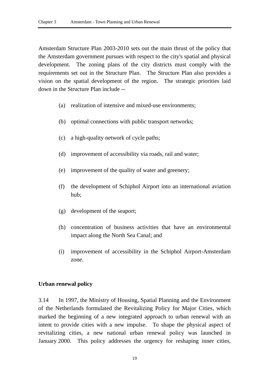Amsterdam Structure Plan 2003-2010 sets out the main thrust of the policy that the Amsterdam government pursues with respect to the city's spatial and physical development. The zoning plans of the city districts must comply with the requirements set out in the Structure Plan. The Structure Plan also provides a vision on the spatial development of the region. The strategic priorities laid down in the Structure Plan include --

- (a) realization of intensive and mixed-use environments;
- (b) optimal connections with public transport networks;
- (c) a high-quality network of cycle paths;
- (d) improvement of accessibility via roads, rail and water;
- (e) improvement of the quality of water and greenery;
- (f) the development of Schiphol Airport into an international aviation hub;
- (g) development of the seaport;
- (h) concentration of business activities that have an environmental impact along the North Sea Canal; and
- (i) improvement of accessibility in the Schiphol Airport-Amsterdam zone.

#### **Urban renewal policy**

3.14 In 1997, the Ministry of Housing, Spatial Planning and the Environment of the Netherlands formulated the Revitalizing Policy for Major Cities, which marked the beginning of a new integrated approach to urban renewal with an intent to provide cities with a new impulse. To shape the physical aspect of revitalizing cities, a new national urban renewal policy was launched in January 2000. This policy addresses the urgency for reshaping inner cities,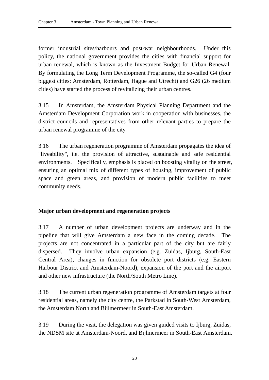former industrial sites/harbours and post-war neighbourhoods. Under this policy, the national government provides the cities with financial support for urban renewal, which is known as the Investment Budget for Urban Renewal. By formulating the Long Term Development Programme, the so-called G4 (four biggest cities: Amsterdam, Rotterdam, Hague and Utrecht) and G26 (26 medium cities) have started the process of revitalizing their urban centres.

3.15 In Amsterdam, the Amsterdam Physical Planning Department and the Amsterdam Development Corporation work in cooperation with businesses, the district councils and representatives from other relevant parties to prepare the urban renewal programme of the city.

3.16 The urban regeneration programme of Amsterdam propagates the idea of "liveability", i.e. the provision of attractive, sustainable and safe residential environments. Specifically, emphasis is placed on boosting vitality on the street, ensuring an optimal mix of different types of housing, improvement of public space and green areas, and provision of modern public facilities to meet community needs.

# **Major urban development and regeneration projects**

3.17 A number of urban development projects are underway and in the pipeline that will give Amsterdam a new face in the coming decade. The projects are not concentrated in a particular part of the city but are fairly dispersed. They involve urban expansion (e.g. Zuidas, Ijburg, South-East Central Area), changes in function for obsolete port districts (e.g. Eastern Harbour District and Amsterdam-Noord), expansion of the port and the airport and other new infrastructure (the North/South Metro Line).

3.18 The current urban regeneration programme of Amsterdam targets at four residential areas, namely the city centre, the Parkstad in South-West Amsterdam, the Amsterdam North and Bijlmermeer in South-East Amsterdam.

3.19 During the visit, the delegation was given guided visits to Ijburg, Zuidas, the NDSM site at Amsterdam-Noord, and Bijlmermeer in South-East Amsterdam.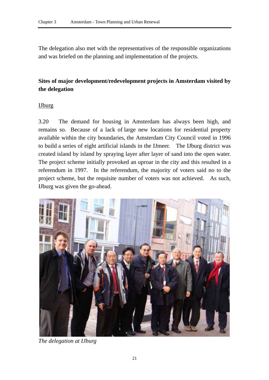The delegation also met with the representatives of the responsible organizations and was briefed on the planning and implementation of the projects.

# **Sites of major development/redevelopment projects in Amsterdam visited by the delegation**

# IJburg

3.20 The demand for housing in Amsterdam has always been high, and remains so. Because of a lack of large new locations for residential property available within the city boundaries, the Amsterdam City Council voted in 1996 to build a series of eight artificial islands in the IJmeer. The IJburg district was created island by island by spraying layer after layer of sand into the open water. The project scheme initially provoked an uproar in the city and this resulted in a referendum in 1997. In the referendum, the majority of voters said no to the project scheme, but the requisite number of voters was not achieved. As such, IJburg was given the go-ahead.



*The delegation at IJburg*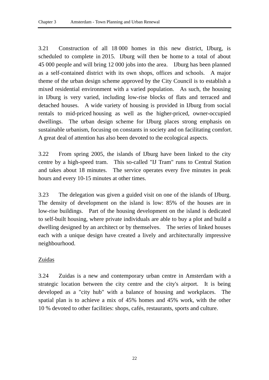3.21 Construction of all 18 000 homes in this new district, IJburg, is scheduled to complete in 2015. IJburg will then be home to a total of about 45 000 people and will bring 12 000 jobs into the area. IJburg has been planned as a self-contained district with its own shops, offices and schools. A major theme of the urban design scheme approved by the City Council is to establish a mixed residential environment with a varied population. As such, the housing in IJburg is very varied, including low-rise blocks of flats and terraced and detached houses. A wide variety of housing is provided in IJburg from social rentals to mid-priced housing as well as the higher-priced, owner-occupied dwellings. The urban design scheme for IJburg places strong emphasis on sustainable urbanism, focusing on constants in society and on facilitating comfort. A great deal of attention has also been devoted to the ecological aspects.

3.22 From spring 2005, the islands of IJburg have been linked to the city centre by a high-speed tram. This so-called "IJ Tram" runs to Central Station and takes about 18 minutes. The service operates every five minutes in peak hours and every 10-15 minutes at other times.

3.23 The delegation was given a guided visit on one of the islands of IJburg. The density of development on the island is low: 85% of the houses are in low-rise buildings. Part of the housing development on the island is dedicated to self-built housing, where private individuals are able to buy a plot and build a dwelling designed by an architect or by themselves. The series of linked houses each with a unique design have created a lively and architecturally impressive neighbourhood.

# Zuidas

3.24 Zuidas is a new and contemporary urban centre in Amsterdam with a strategic location between the city centre and the city's airport. It is being developed as a "city hub" with a balance of housing and workplaces. The spatial plan is to achieve a mix of 45% homes and 45% work, with the other 10 % devoted to other facilities: shops, cafés, restaurants, sports and culture.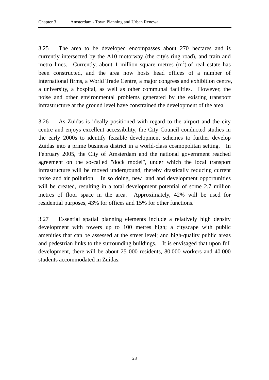3.25 The area to be developed encompasses about 270 hectares and is currently intersected by the A10 motorway (the city's ring road), and train and metro lines. Currently, about 1 million square metres  $(m<sup>2</sup>)$  of real estate has been constructed, and the area now hosts head offices of a number of international firms, a World Trade Centre, a major congress and exhibition centre, a university, a hospital, as well as other communal facilities. However, the noise and other environmental problems generated by the existing transport infrastructure at the ground level have constrained the development of the area.

3.26 As Zuidas is ideally positioned with regard to the airport and the city centre and enjoys excellent accessibility, the City Council conducted studies in the early 2000s to identify feasible development schemes to further develop Zuidas into a prime business district in a world-class cosmopolitan setting. In February 2005, the City of Amsterdam and the national government reached agreement on the so-called "dock model", under which the local transport infrastructure will be moved underground, thereby drastically reducing current noise and air pollution. In so doing, new land and development opportunities will be created, resulting in a total development potential of some 2.7 million metres of floor space in the area. Approximately, 42% will be used for residential purposes, 43% for offices and 15% for other functions.

3.27 Essential spatial planning elements include a relatively high density development with towers up to 100 metres high; a cityscape with public amenities that can be assessed at the street level; and high-quality public areas and pedestrian links to the surrounding buildings. It is envisaged that upon full development, there will be about 25 000 residents, 80 000 workers and 40 000 students accommodated in Zuidas.

23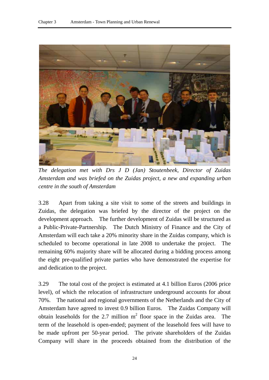

*The delegation met with Drs J D (Jan) Stoutenbeek, Director of Zuidas Amsterdam and was briefed on the Zuidas project, a new and expanding urban centre in the south of Amsterdam* 

3.28 Apart from taking a site visit to some of the streets and buildings in Zuidas, the delegation was briefed by the director of the project on the development approach. The further development of Zuidas will be structured as a Public-Private-Partnership. The Dutch Ministry of Finance and the City of Amsterdam will each take a 20% minority share in the Zuidas company, which is scheduled to become operational in late 2008 to undertake the project. The remaining 60% majority share will be allocated during a bidding process among the eight pre-qualified private parties who have demonstrated the expertise for and dedication to the project.

3.29 The total cost of the project is estimated at 4.1 billion Euros (2006 price level), of which the relocation of infrastructure underground accounts for about 70%. The national and regional governments of the Netherlands and the City of Amsterdam have agreed to invest 0.9 billion Euros. The Zuidas Company will obtain leaseholds for the 2.7 million  $m^2$  floor space in the Zuidas area. The term of the leasehold is open-ended; payment of the leasehold fees will have to be made upfront per 50-year period. The private shareholders of the Zuidas Company will share in the proceeds obtained from the distribution of the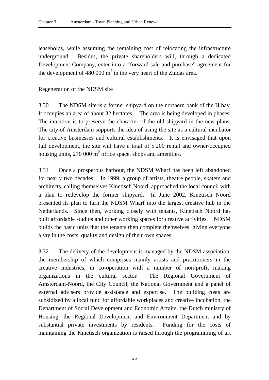leaseholds, while assuming the remaining cost of relocating the infrastructure underground. Besides, the private shareholders will, through a dedicated Development Company, enter into a "forward sale and purchase" agreement for the development of 480 000  $m^2$  in the very heart of the Zuidas area.

#### Regeneration of the NDSM site

3.30 The NDSM site is a former shipyard on the northern bank of the IJ bay. It occupies an area of about 32 hectares. The area is being developed in phases. The intention is to preserve the character of the old shipyard in the new plans. The city of Amsterdam supports the idea of using the site as a cultural incubator for creative businesses and cultural establishments. It is envisaged that upon full development, the site will have a total of 5 200 rental and owner-occupied housing units, 270 000  $m^2$  office space, shops and amenities.

3.31 Once a prosperous harbour, the NDSM Wharf has been left abandoned for nearly two decades. In 1999, a group of artists, theatre people, skaters and architects, calling themselves Kinetisch Noord, approached the local council with a plan to redevelop the former shipyard. In June 2002, Kinetisch Noord presented its plan to turn the NDSM Wharf into the largest creative hub in the Netherlands. Since then, working closely with tenants, Kinetisch Noord has built affordable studios and other working spaces for creative activities. NDSM builds the basic units that the tenants then complete themselves, giving everyone a say in the costs, quality and design of their own spaces.

3.32 The delivery of the development is managed by the NDSM association, the membership of which comprises mainly artists and practitioners in the creative industries, in co-operation with a number of non-profit making organizations in the cultural sector. The Regional Government of Amsterdam-Noord, the City Council, the National Government and a panel of external advisers provide assistance and expertise. The building costs are subsidized by a local fund for affordable workplaces and creative incubation, the Department of Social Development and Economic Affairs, the Dutch ministry of Housing, the Regional Development and Environment Department and by substantial private investments by residents. Funding for the costs of maintaining the Kinetisch organization is raised through the programming of art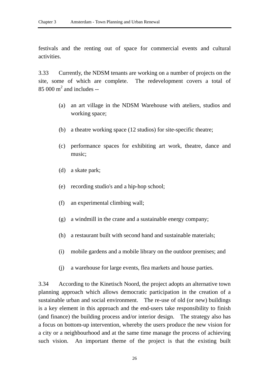festivals and the renting out of space for commercial events and cultural activities.

3.33 Currently, the NDSM tenants are working on a number of projects on the site, some of which are complete. The redevelopment covers a total of  $85000 \text{ m}^2$  and includes --

- (a) an art village in the NDSM Warehouse with ateliers, studios and working space;
- (b) a theatre working space (12 studios) for site-specific theatre;
- (c) performance spaces for exhibiting art work, theatre, dance and music;
- (d) a skate park;
- (e) recording studio's and a hip-hop school;
- (f) an experimental climbing wall;
- (g) a windmill in the crane and a sustainable energy company;
- (h) a restaurant built with second hand and sustainable materials;
- (i) mobile gardens and a mobile library on the outdoor premises; and
- (j) a warehouse for large events, flea markets and house parties.

3.34 According to the Kinetisch Noord, the project adopts an alternative town planning approach which allows democratic participation in the creation of a sustainable urban and social environment. The re-use of old (or new) buildings is a key element in this approach and the end-users take responsibility to finish (and finance) the building process and/or interior design. The strategy also has a focus on bottom-up intervention, whereby the users produce the new vision for a city or a neighbourhood and at the same time manage the process of achieving such vision. An important theme of the project is that the existing built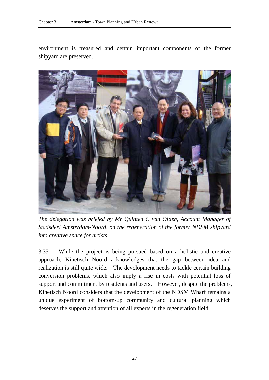environment is treasured and certain important components of the former shipyard are preserved.



*The delegation was briefed by Mr Quinten C van Olden, Account Manager of Stadsdeel Amsterdam-Noord, on the regeneration of the former NDSM shipyard into creative space for artists* 

3.35 While the project is being pursued based on a holistic and creative approach, Kinetisch Noord acknowledges that the gap between idea and realization is still quite wide. The development needs to tackle certain building conversion problems, which also imply a rise in costs with potential loss of support and commitment by residents and users. However, despite the problems, Kinetisch Noord considers that the development of the NDSM Wharf remains a unique experiment of bottom-up community and cultural planning which deserves the support and attention of all experts in the regeneration field.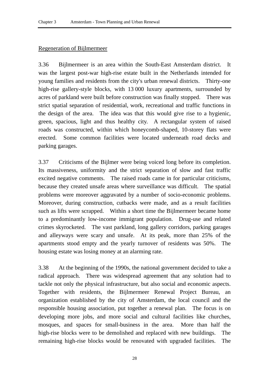#### Regeneration of Bijlmermeer

3.36 Bijlmermeer is an area within the South-East Amsterdam district. It was the largest post-war high-rise estate built in the Netherlands intended for young families and residents from the city's urban renewal districts. Thirty-one high-rise gallery-style blocks, with 13 000 luxury apartments, surrounded by acres of parkland were built before construction was finally stopped. There was strict spatial separation of residential, work, recreational and traffic functions in the design of the area. The idea was that this would give rise to a hygienic, green, spacious, light and thus healthy city. A rectangular system of raised roads was constructed, within which honeycomb-shaped, 10-storey flats were erected. Some common facilities were located underneath road decks and parking garages.

3.37 Criticisms of the Bijlmer were being voiced long before its completion. Its massiveness, uniformity and the strict separation of slow and fast traffic excited negative comments. The raised roads came in for particular criticisms, because they created unsafe areas where surveillance was difficult. The spatial problems were moreover aggravated by a number of socio-economic problems. Moreover, during construction, cutbacks were made, and as a result facilities such as lifts were scrapped. Within a short time the Bijlmermeer became home to a predominantly low-income immigrant population. Drug-use and related crimes skyrocketed. The vast parkland, long gallery corridors, parking garages and alleyways were scary and unsafe. At its peak, more than 25% of the apartments stood empty and the yearly turnover of residents was 50%. The housing estate was losing money at an alarming rate.

3.38 At the beginning of the 1990s, the national government decided to take a radical approach. There was widespread agreement that any solution had to tackle not only the physical infrastructure, but also social and economic aspects. Together with residents, the Bijlmermeer Renewal Project Bureau, an organization established by the city of Amsterdam, the local council and the responsible housing association, put together a renewal plan. The focus is on developing more jobs, and more social and cultural facilities like churches, mosques, and spaces for small-business in the area. More than half the high-rise blocks were to be demolished and replaced with new buildings. The remaining high-rise blocks would be renovated with upgraded facilities. The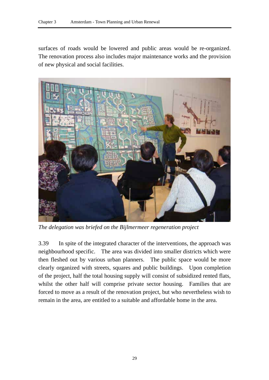surfaces of roads would be lowered and public areas would be re-organized. The renovation process also includes major maintenance works and the provision of new physical and social facilities.



*The delegation was briefed on the Bijlmermeer regeneration project* 

3.39 In spite of the integrated character of the interventions, the approach was neighbourhood specific. The area was divided into smaller districts which were then fleshed out by various urban planners. The public space would be more clearly organized with streets, squares and public buildings. Upon completion of the project, half the total housing supply will consist of subsidized rented flats, whilst the other half will comprise private sector housing. Families that are forced to move as a result of the renovation project, but who nevertheless wish to remain in the area, are entitled to a suitable and affordable home in the area.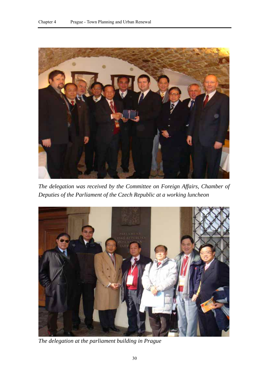

*The delegation was received by the Committee on Foreign Affairs, Chamber of Deputies of the Parliament of the Czech Republic at a working luncheon* 



*The delegation at the parliament building in Prague*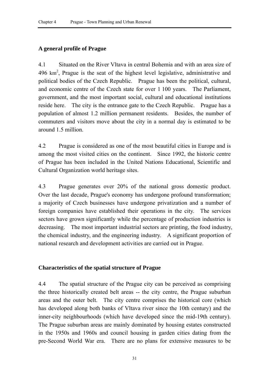#### **A general profile of Prague**

4.1 Situated on the River Vltava in central Bohemia and with an area size of  $496 \text{ km}^2$ , Prague is the seat of the highest level legislative, administrative and political bodies of the Czech Republic. Prague has been the political, cultural, and economic centre of the Czech state for over 1 100 years. The Parliament, government, and the most important social, cultural and educational institutions reside here. The city is the entrance gate to the Czech Republic. Prague has a population of almost 1.2 million permanent residents. Besides, the number of commuters and visitors move about the city in a normal day is estimated to be around 1.5 million.

4.2 Prague is considered as one of the most beautiful cities in Europe and is among the most visited cities on the continent. Since 1992, the historic centre of Prague has been included in the United Nations Educational, Scientific and Cultural Organization world heritage sites.

4.3 Prague generates over 20% of the national gross domestic product. Over the last decade, Prague's economy has undergone profound transformation; a majority of Czech businesses have undergone privatization and a number of foreign companies have established their operations in the city. The services sectors have grown significantly while the percentage of production industries is decreasing. The most important industrial sectors are printing, the food industry, the chemical industry, and the engineering industry. A significant proportion of national research and development activities are carried out in Prague.

#### **Characteristics of the spatial structure of Prague**

4.4 The spatial structure of the Prague city can be perceived as comprising the three historically created belt areas -- the city centre, the Prague suburban areas and the outer belt. The city centre comprises the historical core (which has developed along both banks of Vltava river since the 10th century) and the inner-city neighbourhoods (which have developed since the mid-19th century). The Prague suburban areas are mainly dominated by housing estates constructed in the 1950s and 1960s and council housing in garden cities dating from the pre-Second World War era. There are no plans for extensive measures to be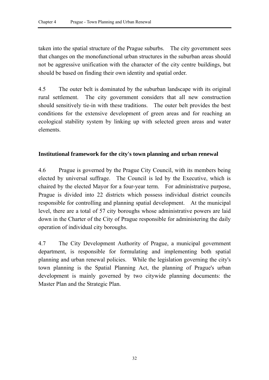taken into the spatial structure of the Prague suburbs. The city government sees that changes on the monofunctional urban structures in the suburban areas should not be aggressive unification with the character of the city centre buildings, but should be based on finding their own identity and spatial order.

4.5 The outer belt is dominated by the suburban landscape with its original rural settlement. The city government considers that all new construction should sensitively tie-in with these traditions. The outer belt provides the best conditions for the extensive development of green areas and for reaching an ecological stability system by linking up with selected green areas and water elements.

# **Institutional framework for the city's town planning and urban renewal**

4.6 Prague is governed by the Prague City Council, with its members being elected by universal suffrage. The Council is led by the Executive, which is chaired by the elected Mayor for a four-year term. For administrative purpose, Prague is divided into 22 districts which possess individual district councils responsible for controlling and planning spatial development. At the municipal level, there are a total of 57 city boroughs whose administrative powers are laid down in the Charter of the City of Prague responsible for administering the daily operation of individual city boroughs.

4.7 The City Development Authority of Prague, a municipal government department, is responsible for formulating and implementing both spatial planning and urban renewal policies. While the legislation governing the city's town planning is the Spatial Planning Act, the planning of Prague's urban development is mainly governed by two citywide planning documents: the Master Plan and the Strategic Plan.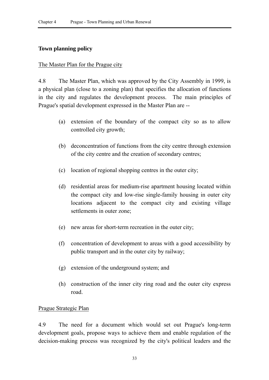#### **Town planning policy**

#### The Master Plan for the Prague city

4.8 The Master Plan, which was approved by the City Assembly in 1999, is a physical plan (close to a zoning plan) that specifies the allocation of functions in the city and regulates the development process. The main principles of Prague's spatial development expressed in the Master Plan are --

- (a) extension of the boundary of the compact city so as to allow controlled city growth;
- (b) deconcentration of functions from the city centre through extension of the city centre and the creation of secondary centres;
- (c) location of regional shopping centres in the outer city;
- (d) residential areas for medium-rise apartment housing located within the compact city and low-rise single-family housing in outer city locations adjacent to the compact city and existing village settlements in outer zone;
- (e) new areas for short-term recreation in the outer city;
- (f) concentration of development to areas with a good accessibility by public transport and in the outer city by railway;
- (g) extension of the underground system; and
- (h) construction of the inner city ring road and the outer city express road.

#### Prague Strategic Plan

4.9 The need for a document which would set out Prague's long-term development goals, propose ways to achieve them and enable regulation of the decision-making process was recognized by the city's political leaders and the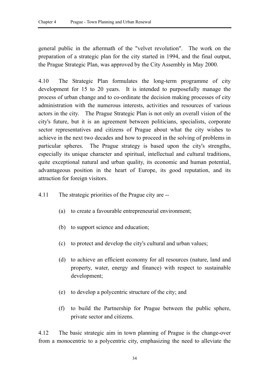general public in the aftermath of the "velvet revolution". The work on the preparation of a strategic plan for the city started in 1994, and the final output, the Prague Strategic Plan, was approved by the City Assembly in May 2000.

4.10 The Strategic Plan formulates the long-term programme of city development for 15 to 20 years. It is intended to purposefully manage the process of urban change and to co-ordinate the decision making processes of city administration with the numerous interests, activities and resources of various actors in the city. The Prague Strategic Plan is not only an overall vision of the city's future, but it is an agreement between politicians, specialists, corporate sector representatives and citizens of Prague about what the city wishes to achieve in the next two decades and how to proceed in the solving of problems in particular spheres. The Prague strategy is based upon the city's strengths, especially its unique character and spiritual, intellectual and cultural traditions, quite exceptional natural and urban quality, its economic and human potential, advantageous position in the heart of Europe, its good reputation, and its attraction for foreign visitors.

- 4.11 The strategic priorities of the Prague city are --
	- (a) to create a favourable entrepreneurial environment;
	- (b) to support science and education;
	- (c) to protect and develop the city's cultural and urban values;
	- (d) to achieve an efficient economy for all resources (nature, land and property, water, energy and finance) with respect to sustainable development;
	- (e) to develop a polycentric structure of the city; and
	- (f) to build the Partnership for Prague between the public sphere, private sector and citizens.

4.12 The basic strategic aim in town planning of Prague is the change-over from a monocentric to a polycentric city, emphasizing the need to alleviate the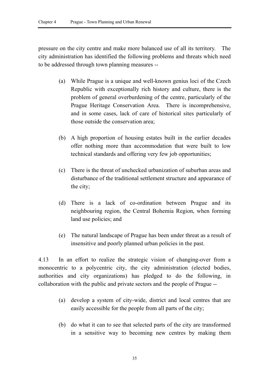pressure on the city centre and make more balanced use of all its territory. The city administration has identified the following problems and threats which need to be addressed through town planning measures --

- (a) While Prague is a unique and well-known genius loci of the Czech Republic with exceptionally rich history and culture, there is the problem of general overburdening of the centre, particularly of the Prague Heritage Conservation Area. There is incomprehensive, and in some cases, lack of care of historical sites particularly of those outside the conservation area;
- (b) A high proportion of housing estates built in the earlier decades offer nothing more than accommodation that were built to low technical standards and offering very few job opportunities;
- (c) There is the threat of unchecked urbanization of suburban areas and disturbance of the traditional settlement structure and appearance of the city;
- (d) There is a lack of co-ordination between Prague and its neighbouring region, the Central Bohemia Region, when forming land use policies; and
- (e) The natural landscape of Prague has been under threat as a result of insensitive and poorly planned urban policies in the past.

4.13 In an effort to realize the strategic vision of changing-over from a monocentric to a polycentric city, the city administration (elected bodies, authorities and city organizations) has pledged to do the following, in collaboration with the public and private sectors and the people of Prague --

- (a) develop a system of city-wide, district and local centres that are easily accessible for the people from all parts of the city;
- (b) do what it can to see that selected parts of the city are transformed in a sensitive way to becoming new centres by making them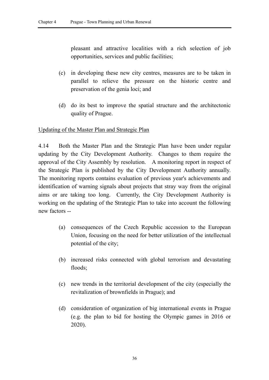pleasant and attractive localities with a rich selection of job opportunities, services and public facilities;

- (c) in developing these new city centres, measures are to be taken in parallel to relieve the pressure on the historic centre and preservation of the genia loci; and
- (d) do its best to improve the spatial structure and the architectonic quality of Prague.

Updating of the Master Plan and Strategic Plan

4.14 Both the Master Plan and the Strategic Plan have been under regular updating by the City Development Authority. Changes to them require the approval of the City Assembly by resolution. A monitoring report in respect of the Strategic Plan is published by the City Development Authority annually. The monitoring reports contains evaluation of previous year's achievements and identification of warning signals about projects that stray way from the original aims or are taking too long. Currently, the City Development Authority is working on the updating of the Strategic Plan to take into account the following new factors --

- (a) consequences of the Czech Republic accession to the European Union, focusing on the need for better utilization of the intellectual potential of the city;
- (b) increased risks connected with global terrorism and devastating floods;
- (c) new trends in the territorial development of the city (especially the revitalization of brownfields in Prague); and
- (d) consideration of organization of big international events in Prague (e.g. the plan to bid for hosting the Olympic games in 2016 or 2020).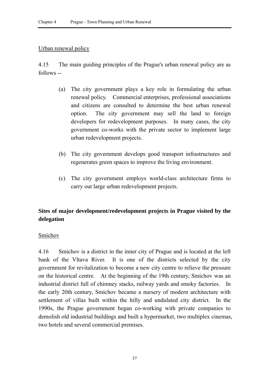#### Urban renewal policy

4.15 The main guiding principles of the Prague's urban renewal policy are as follows --

- (a) The city government plays a key role in formulating the urban renewal policy. Commercial enterprises, professional associations and citizens are consulted to determine the best urban renewal option. The city government may sell the land to foreign developers for redevelopment purposes. In many cases, the city government co-works with the private sector to implement large urban redevelopment projects.
- (b) The city government develops good transport infrastructures and regenerates green spaces to improve the living environment.
- (c) The city government employs world-class architecture firms to carry out large urban redevelopment projects.

# **Sites of major development/redevelopment projects in Prague visited by the delegation**

#### Smíchov

4.16 SmÌchov is a district in the inner city of Prague and is located at the left bank of the Vltava River. It is one of the districts selected by the city government for revitalization to become a new city centre to relieve the pressure on the historical centre. At the beginning of the 19th century, Smichov was an industrial district full of chimney stacks, railway yards and smoky factories. In the early 20th century, Smichov became a nursery of modern architecture with settlement of villas built within the hilly and undulated city district. In the 1990s, the Prague government began co-working with private companies to demolish old industrial buildings and built a hypermarket, two multiplex cinemas, two hotels and several commercial premises.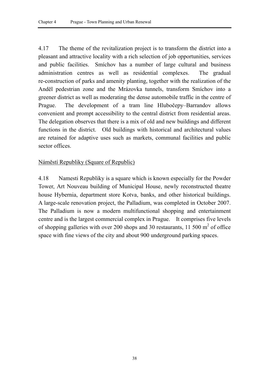4.17 The theme of the revitalization project is to transform the district into a pleasant and attractive locality with a rich selection of job opportunities, services and public facilities. Smichov has a number of large cultural and business administration centres as well as residential complexes. The gradual re-construction of parks and amenity planting, together with the realization of the Anděl pedestrian zone and the Mrázovka tunnels, transform Smíchov into a greener district as well as moderating the dense automobile traffic in the centre of Prague. The development of a tram line Hlubočepy–Barrandov allows convenient and prompt accessibility to the central district from residential areas. The delegation observes that there is a mix of old and new buildings and different functions in the district. Old buildings with historical and architectural values are retained for adaptive uses such as markets, communal facilities and public sector offices.

# Náměstí Republiky (Square of Republic)

4.18 Namesti Republiky is a square which is known especially for the Powder Tower, Art Nouveau building of Municipal House, newly reconstructed theatre house Hybernia, department store Kotva, banks, and other historical buildings. A large-scale renovation project, the Palladium, was completed in October 2007. The Palladium is now a modern multifunctional shopping and entertainment centre and is the largest commercial complex in Prague. It comprises five levels of shopping galleries with over 200 shops and 30 restaurants, 11 500  $m<sup>2</sup>$  of office space with fine views of the city and about 900 underground parking spaces.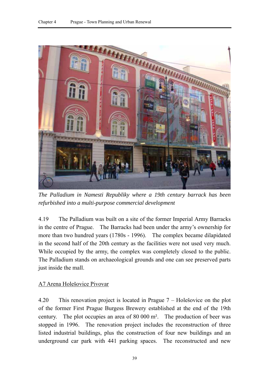

*The Palladium in Namesti Republiky where a 19th century barrack has been refurbished into a multi-purpose commercial development* 

4.19 The Palladium was built on a site of the former Imperial Army Barracks in the centre of Prague. The Barracks had been under the army's ownership for more than two hundred years (1780s - 1996). The complex became dilapidated in the second half of the 20th century as the facilities were not used very much. While occupied by the army, the complex was completely closed to the public. The Palladium stands on archaeological grounds and one can see preserved parts just inside the mall.

#### A7 Arena Holeöovice Pivovar

4.20 This renovation project is located in Prague  $7 -$  Holešovice on the plot of the former First Prague Burgess Brewery established at the end of the 19th century. The plot occupies an area of 80 000 m². The production of beer was stopped in 1996. The renovation project includes the reconstruction of three listed industrial buildings, plus the construction of four new buildings and an underground car park with 441 parking spaces. The reconstructed and new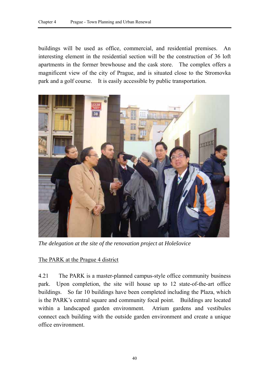buildings will be used as office, commercial, and residential premises. An interesting element in the residential section will be the construction of 36 loft apartments in the former brewhouse and the cask store. The complex offers a magnificent view of the city of Prague, and is situated close to the Stromovka park and a golf course. It is easily accessible by public transportation.



*The delegation at the site of the renovation project at Holešovice* 

#### The PARK at the Prague 4 district

4.21 The PARK is a master-planned campus-style office community business park. Upon completion, the site will house up to 12 state-of-the-art office buildings. So far 10 buildings have been completed including the Plaza, which is the PARK's central square and community focal point. Buildings are located within a landscaped garden environment. Atrium gardens and vestibules connect each building with the outside garden environment and create a unique office environment.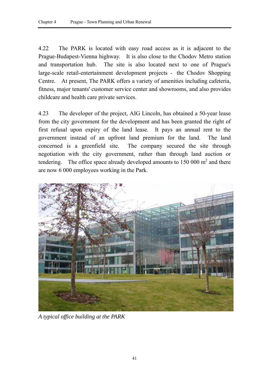4.22 The PARK is located with easy road access as it is adjacent to the Prague-Budapest-Vienna highway. It is also close to the Chodov Metro station and transportation hub. The site is also located next to one of Prague's large-scale retail-entertainment development projects - the Chodov Shopping Centre. At present, The PARK offers a variety of amenities including cafeteria, fitness, major tenants' customer service center and showrooms, and also provides childcare and health care private services.

4.23 The developer of the project, AIG Lincoln, has obtained a 50-year lease from the city government for the development and has been granted the right of first refusal upon expiry of the land lease. It pays an annual rent to the government instead of an upfront land premium for the land. The land concerned is a greenfield site. The company secured the site through negotiation with the city government, rather than through land auction or tendering. The office space already developed amounts to  $150,000$  m<sup>2</sup> and there are now 6 000 employees working in the Park.



*A typical office building at the PARK*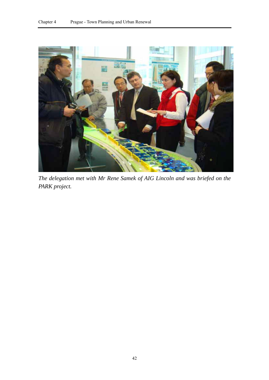

*The delegation met with Mr Rene Samek of AIG Lincoln and was briefed on the PARK project.*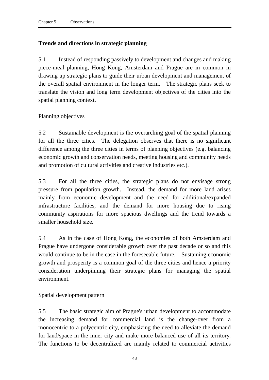# **Trends and directions in strategic planning**

5.1 Instead of responding passively to development and changes and making piece-meal planning, Hong Kong, Amsterdam and Prague are in common in drawing up strategic plans to guide their urban development and management of the overall spatial environment in the longer term. The strategic plans seek to translate the vision and long term development objectives of the cities into the spatial planning context.

# Planning objectives

5.2 Sustainable development is the overarching goal of the spatial planning for all the three cities. The delegation observes that there is no significant difference among the three cities in terms of planning objectives (e.g. balancing economic growth and conservation needs, meeting housing and community needs and promotion of cultural activities and creative industries etc.).

5.3 For all the three cities, the strategic plans do not envisage strong pressure from population growth. Instead, the demand for more land arises mainly from economic development and the need for additional/expanded infrastructure facilities, and the demand for more housing due to rising community aspirations for more spacious dwellings and the trend towards a smaller household size.

5.4 As in the case of Hong Kong, the economies of both Amsterdam and Prague have undergone considerable growth over the past decade or so and this would continue to be in the case in the foreseeable future. Sustaining economic growth and prosperity is a common goal of the three cities and hence a priority consideration underpinning their strategic plans for managing the spatial environment.

#### Spatial development pattern

5.5 The basic strategic aim of Prague's urban development to accommodate the increasing demand for commercial land is the change-over from a monocentric to a polycentric city, emphasizing the need to alleviate the demand for land/space in the inner city and make more balanced use of all its territory. The functions to be decentralized are mainly related to commercial activities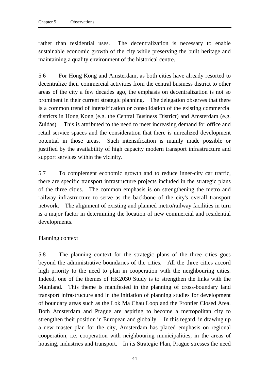rather than residential uses. The decentralization is necessary to enable sustainable economic growth of the city while preserving the built heritage and maintaining a quality environment of the historical centre.

5.6 For Hong Kong and Amsterdam, as both cities have already resorted to decentralize their commercial activities from the central business district to other areas of the city a few decades ago, the emphasis on decentralization is not so prominent in their current strategic planning. The delegation observes that there is a common trend of intensification or consolidation of the existing commercial districts in Hong Kong (e.g. the Central Business District) and Amsterdam (e.g. Zuidas). This is attributed to the need to meet increasing demand for office and retail service spaces and the consideration that there is unrealized development potential in those areas. Such intensification is mainly made possible or justified by the availability of high capacity modern transport infrastructure and support services within the vicinity.

5.7 To complement economic growth and to reduce inner-city car traffic, there are specific transport infrastructure projects included in the strategic plans of the three cities. The common emphasis is on strengthening the metro and railway infrastructure to serve as the backbone of the city's overall transport network. The alignment of existing and planned metro/railway facilities in turn is a major factor in determining the location of new commercial and residential developments.

#### Planning context

5.8 The planning context for the strategic plans of the three cities goes beyond the administrative boundaries of the cities. All the three cities accord high priority to the need to plan in cooperation with the neighbouring cities. Indeed, one of the themes of HK2030 Study is to strengthen the links with the Mainland. This theme is manifested in the planning of cross-boundary land transport infrastructure and in the initiation of planning studies for development of boundary areas such as the Lok Ma Chau Loop and the Frontier Closed Area. Both Amsterdam and Prague are aspiring to become a metropolitan city to strengthen their position in European and globally. In this regard, in drawing up a new master plan for the city, Amsterdam has placed emphasis on regional cooperation, i.e. cooperation with neighbouring municipalities, in the areas of housing, industries and transport. In its Strategic Plan, Prague stresses the need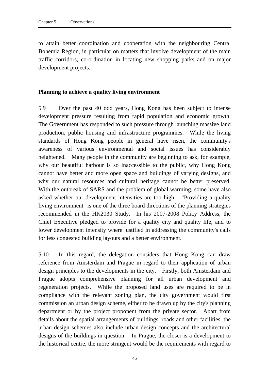to attain better coordination and cooperation with the neighbouring Central Bohemia Region, in particular on matters that involve development of the main traffic corridors, co-ordination in locating new shopping parks and on major development projects.

#### **Planning to achieve a quality living environment**

5.9 Over the past 40 odd years, Hong Kong has been subject to intense development pressure resulting from rapid population and economic growth. The Government has responded to such pressure through launching massive land production, public housing and infrastructure programmes. While the living standards of Hong Kong people in general have risen, the community's awareness of various environmental and social issues has considerably heightened. Many people in the community are beginning to ask, for example, why our beautiful harbour is so inaccessible to the public, why Hong Kong cannot have better and more open space and buildings of varying designs, and why our natural resources and cultural heritage cannot be better preserved. With the outbreak of SARS and the problem of global warming, some have also asked whether our development intensities are too high. "Providing a quality living environment" is one of the three board directions of the planning strategies recommended in the HK2030 Study. In his 2007-2008 Policy Address, the Chief Executive pledged to provide for a quality city and quality life, and to lower development intensity where justified in addressing the community's calls for less congested building layouts and a better environment.

5.10 In this regard, the delegation considers that Hong Kong can draw reference from Amsterdam and Prague in regard to their application of urban design principles to the developments in the city. Firstly, both Amsterdam and Prague adopts comprehensive planning for all urban development and regeneration projects. While the proposed land uses are required to be in compliance with the relevant zoning plan, the city government would first commission an urban design scheme, either to be drawn up by the city's planning department or by the project proponent from the private sector. Apart from details about the spatial arrangements of buildings, roads and other facilities, the urban design schemes also include urban design concepts and the architectural designs of the buildings in question. In Prague, the closer is a development to the historical centre, the more stringent would be the requirements with regard to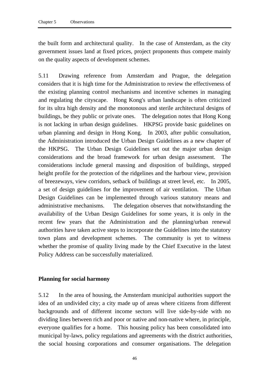the built form and architectural quality. In the case of Amsterdam, as the city government issues land at fixed prices, project proponents thus compete mainly on the quality aspects of development schemes.

5.11 Drawing reference from Amsterdam and Prague, the delegation considers that it is high time for the Administration to review the effectiveness of the existing planning control mechanisms and incentive schemes in managing and regulating the cityscape. Hong Kong's urban landscape is often criticized for its ultra high density and the monotonous and sterile architectural designs of buildings, be they public or private ones. The delegation notes that Hong Kong is not lacking in urban design guidelines. HKPSG provide basic guidelines on urban planning and design in Hong Kong. In 2003, after public consultation, the Administration introduced the Urban Design Guidelines as a new chapter of the HKPSG. The Urban Design Guidelines set out the major urban design considerations and the broad framework for urban design assessment. The considerations include general massing and disposition of buildings, stepped height profile for the protection of the ridgelines and the harbour view, provision of breezeways, view corridors, setback of buildings at street level, etc. In 2005, a set of design guidelines for the improvement of air ventilation. The Urban Design Guidelines can be implemented through various statutory means and administrative mechanisms. The delegation observes that notwithstanding the availability of the Urban Design Guidelines for some years, it is only in the recent few years that the Administration and the planning/urban renewal authorities have taken active steps to incorporate the Guidelines into the statutory town plans and development schemes. The community is yet to witness whether the promise of quality living made by the Chief Executive in the latest Policy Address can be successfully materialized.

#### **Planning for social harmony**

5.12 In the area of housing, the Amsterdam municipal authorities support the idea of an undivided city; a city made up of areas where citizens from different backgrounds and of different income sectors will live side-by-side with no dividing lines between rich and poor or native and non-native where, in principle, everyone qualifies for a home. This housing policy has been consolidated into municipal by-laws, policy regulations and agreements with the district authorities, the social housing corporations and consumer organisations. The delegation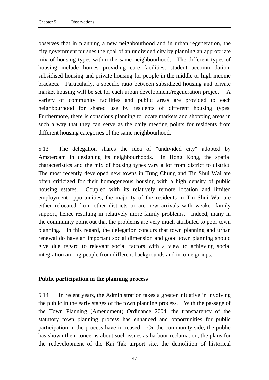observes that in planning a new neighbourhood and in urban regeneration, the city government pursues the goal of an undivided city by planning an appropriate mix of housing types within the same neighbourhood. The different types of housing include homes providing care facilities, student accommodation, subsidised housing and private housing for people in the middle or high income brackets. Particularly, a specific ratio between subsidized housing and private market housing will be set for each urban development/regeneration project. A variety of community facilities and public areas are provided to each neighbourhood for shared use by residents of different housing types. Furthermore, there is conscious planning to locate markets and shopping areas in such a way that they can serve as the daily meeting points for residents from different housing categories of the same neighbourhood.

5.13 The delegation shares the idea of "undivided city" adopted by Amsterdam in designing its neighbourhoods. In Hong Kong, the spatial characteristics and the mix of housing types vary a lot from district to district. The most recently developed new towns in Tung Chung and Tin Shui Wai are often criticized for their homogeneous housing with a high density of public housing estates. Coupled with its relatively remote location and limited employment opportunities, the majority of the residents in Tin Shui Wai are either relocated from other districts or are new arrivals with weaker family support, hence resulting in relatively more family problems. Indeed, many in the community point out that the problems are very much attributed to poor town planning. In this regard, the delegation concurs that town planning and urban renewal do have an important social dimension and good town planning should give due regard to relevant social factors with a view to achieving social integration among people from different backgrounds and income groups.

#### **Public participation in the planning process**

5.14 In recent years, the Administration takes a greater initiative in involving the public in the early stages of the town planning process. With the passage of the Town Planning (Amendment) Ordinance 2004, the transparency of the statutory town planning process has enhanced and opportunities for public participation in the process have increased. On the community side, the public has shown their concerns about such issues as harbour reclamation, the plans for the redevelopment of the Kai Tak airport site, the demolition of historical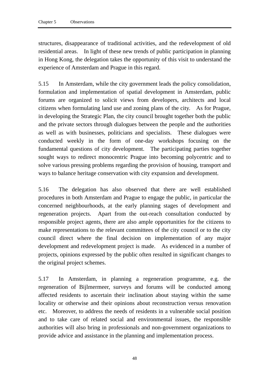structures, disappearance of traditional activities, and the redevelopment of old residential areas. In light of these new trends of public participation in planning in Hong Kong, the delegation takes the opportunity of this visit to understand the experience of Amsterdam and Prague in this regard.

5.15 In Amsterdam, while the city government leads the policy consolidation, formulation and implementation of spatial development in Amsterdam, public forums are organized to solicit views from developers, architects and local citizens when formulating land use and zoning plans of the city. As for Prague, in developing the Strategic Plan, the city council brought together both the public and the private sectors through dialogues between the people and the authorities as well as with businesses, politicians and specialists. These dialogues were conducted weekly in the form of one-day workshops focusing on the fundamental questions of city development. The participating parties together sought ways to redirect monocentric Prague into becoming polycentric and to solve various pressing problems regarding the provision of housing, transport and ways to balance heritage conservation with city expansion and development.

5.16 The delegation has also observed that there are well established procedures in both Amsterdam and Prague to engage the public, in particular the concerned neighbourhoods, at the early planning stages of development and regeneration projects. Apart from the out-reach consultation conducted by responsible project agents, there are also ample opportunities for the citizens to make representations to the relevant committees of the city council or to the city council direct where the final decision on implementation of any major development and redevelopment project is made. As evidenced in a number of projects, opinions expressed by the public often resulted in significant changes to the original project schemes.

5.17 In Amsterdam, in planning a regeneration programme, e.g. the regeneration of Bijlmermeer, surveys and forums will be conducted among affected residents to ascertain their inclination about staying within the same locality or otherwise and their opinions about reconstruction versus renovation etc. Moreover, to address the needs of residents in a vulnerable social position and to take care of related social and environmental issues, the responsible authorities will also bring in professionals and non-government organizations to provide advice and assistance in the planning and implementation process.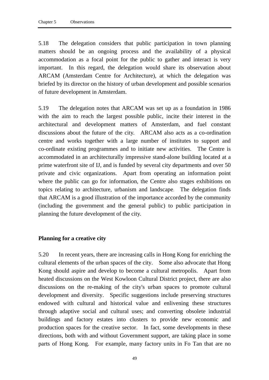5.18 The delegation considers that public participation in town planning matters should be an ongoing process and the availability of a physical accommodation as a focal point for the public to gather and interact is very important. In this regard, the delegation would share its observation about ARCAM (Amsterdam Centre for Architecture), at which the delegation was briefed by its director on the history of urban development and possible scenarios of future development in Amsterdam.

5.19 The delegation notes that ARCAM was set up as a foundation in 1986 with the aim to reach the largest possible public, incite their interest in the architectural and development matters of Amsterdam, and fuel constant discussions about the future of the city. ARCAM also acts as a co-ordination centre and works together with a large number of institutes to support and co-ordinate existing programmes and to initiate new activities. The Centre is accommodated in an architecturally impressive stand-alone building located at a prime waterfront site of IJ, and is funded by several city departments and over 50 private and civic organizations. Apart from operating an information point where the public can go for information, the Centre also stages exhibitions on topics relating to architecture, urbanism and landscape. The delegation finds that ARCAM is a good illustration of the importance accorded by the community (including the government and the general public) to public participation in planning the future development of the city.

#### **Planning for a creative city**

5.20 In recent years, there are increasing calls in Hong Kong for enriching the cultural elements of the urban spaces of the city. Some also advocate that Hong Kong should aspire and develop to become a cultural metropolis. Apart from heated discussions on the West Kowloon Cultural District project, there are also discussions on the re-making of the city's urban spaces to promote cultural development and diversity. Specific suggestions include preserving structures endowed with cultural and historical value and enlivening these structures through adaptive social and cultural uses; and converting obsolete industrial buildings and factory estates into clusters to provide new economic and production spaces for the creative sector. In fact, some developments in these directions, both with and without Government support, are taking place in some parts of Hong Kong. For example, many factory units in Fo Tan that are no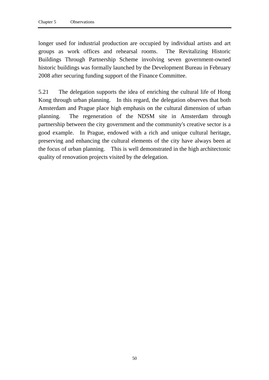longer used for industrial production are occupied by individual artists and art groups as work offices and rehearsal rooms. The Revitalizing Historic Buildings Through Partnership Scheme involving seven government-owned historic buildings was formally launched by the Development Bureau in February 2008 after securing funding support of the Finance Committee.

5.21 The delegation supports the idea of enriching the cultural life of Hong Kong through urban planning. In this regard, the delegation observes that both Amsterdam and Prague place high emphasis on the cultural dimension of urban planning. The regeneration of the NDSM site in Amsterdam through partnership between the city government and the community's creative sector is a good example. In Prague, endowed with a rich and unique cultural heritage, preserving and enhancing the cultural elements of the city have always been at the focus of urban planning. This is well demonstrated in the high architectonic quality of renovation projects visited by the delegation.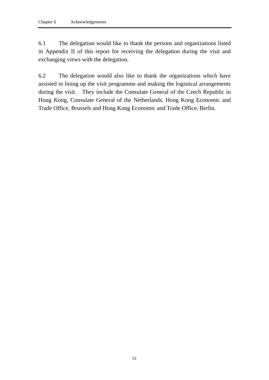6.1 The delegation would like to thank the persons and organizations listed in Appendix II of this report for receiving the delegation during the visit and exchanging views with the delegation.

6.2 The delegation would also like to thank the organizations which have assisted in lining up the visit programme and making the logistical arrangements during the visit. They include the Consulate General of the Czech Republic in Hong Kong, Consulate General of the Netherlands, Hong Kong Economic and Trade Office, Brussels and Hong Kong Economic and Trade Office, Berlin.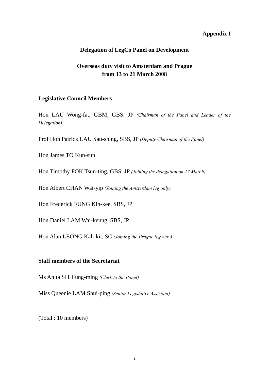# **Appendix I**

#### **Delegation of LegCo Panel on Development**

# **Overseas duty visit to Amsterdam and Prague from 13 to 21 March 2008**

#### **Legislative Council Members**

Hon LAU Wong-fat, GBM, GBS, JP *(Chairman of the Panel and Leader of the Delegation)* 

Prof Hon Patrick LAU Sau-shing, SBS, JP *(Deputy Chairman of the Panel)*

Hon James TO Kun-sun

Hon Timothy FOK Tsun-ting, GBS, JP *(Joining the delegation on 17 March)*

Hon Albert CHAN Wai-yip *(Joining the Amsterdam leg only)*

Hon Frederick FUNG Kin-kee, SBS, JP

Hon Daniel LAM Wai-keung, SBS, JP

Hon Alan LEONG Kah-kit, SC *(Joining the Prague leg only)*

#### **Staff members of the Secretariat**

Ms Anita SIT Fung-ming *(Clerk to the Panel)*

Miss Queenie LAM Shui-ping *(Senior Legislative Assistant)*

(Total : 10 members)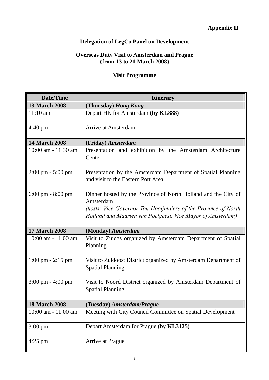# **Appendix II**

# **Delegation of LegCo Panel on Development**

#### **Overseas Duty Visit to Amsterdam and Prague (from 13 to 21 March 2008)**

# **Visit Programme**

| Date/Time                           | <b>Itinerary</b>                                                                                                                                                                                             |
|-------------------------------------|--------------------------------------------------------------------------------------------------------------------------------------------------------------------------------------------------------------|
| <b>13 March 2008</b>                | (Thursday) Hong Kong                                                                                                                                                                                         |
| $11:10$ am                          | Depart HK for Amsterdam (by KL888)                                                                                                                                                                           |
| $4:40 \text{ pm}$                   | Arrive at Amsterdam                                                                                                                                                                                          |
| <b>14 March 2008</b>                | (Friday) Amsterdam                                                                                                                                                                                           |
| $10:00$ am $-11:30$ am              | Presentation and exhibition by the Amsterdam Architecture<br>Center                                                                                                                                          |
| 2:00 pm - 5:00 pm                   | Presentation by the Amsterdam Department of Spatial Planning<br>and visit to the Eastern Port Area                                                                                                           |
| 6:00 pm - 8:00 pm                   | Dinner hosted by the Province of North Holland and the City of<br>Amsterdam<br>(hosts: Vice Governor Ton Hooijmaiers of the Province of North<br>Holland and Maarten van Poelgeest, Vice Mayor of Amsterdam) |
| <b>17 March 2008</b>                | (Monday) Amsterdam                                                                                                                                                                                           |
| $10:00$ am $-11:00$ am              | Visit to Zuidas organized by Amsterdam Department of Spatial<br>Planning                                                                                                                                     |
| $1:00 \text{ pm} - 2:15 \text{ pm}$ | Visit to Zuidoost District organized by Amsterdam Department of<br><b>Spatial Planning</b>                                                                                                                   |
| $3:00 \text{ pm} - 4:00 \text{ pm}$ | Visit to Noord District organized by Amsterdam Department of<br><b>Spatial Planning</b>                                                                                                                      |
| <b>18 March 2008</b>                | (Tuesday) Amsterdam/Prague                                                                                                                                                                                   |
| $10:00$ am $-11:00$ am              | Meeting with City Council Committee on Spatial Development                                                                                                                                                   |
| $3:00 \text{ pm}$                   | Depart Amsterdam for Prague (by KL3125)                                                                                                                                                                      |
| $4:25$ pm                           | Arrive at Prague                                                                                                                                                                                             |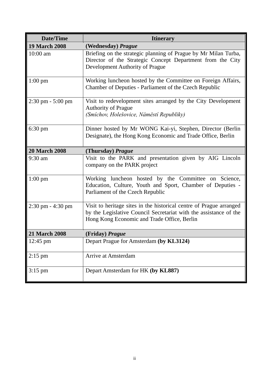| Date/Time                           | <b>Itinerary</b>                                                                                                                                                                        |
|-------------------------------------|-----------------------------------------------------------------------------------------------------------------------------------------------------------------------------------------|
| <b>19 March 2008</b>                | (Wednesday) Prague                                                                                                                                                                      |
| 10:00 am                            | Briefing on the strategic planning of Prague by Mr Milan Turba,<br>Director of the Strategic Concept Department from the City<br>Development Authority of Prague                        |
| $1:00 \text{ pm}$                   | Working luncheon hosted by the Committee on Foreign Affairs,<br>Chamber of Deputies - Parliament of the Czech Republic                                                                  |
| $2:30 \text{ pm} - 5:00 \text{ pm}$ | Visit to redevelopment sites arranged by the City Development<br>Authority of Prague<br>(Smíchov, Holešovice, Náměstí Republiky)                                                        |
| $6:30 \text{ pm}$                   | Dinner hosted by Mr WONG Kai-yi, Stephen, Director (Berlin<br>Designate), the Hong Kong Economic and Trade Office, Berlin                                                               |
| <b>20 March 2008</b>                | (Thursday) Prague                                                                                                                                                                       |
| 9:30 am                             | Visit to the PARK and presentation given by AIG Lincoln<br>company on the PARK project                                                                                                  |
| $1:00 \text{ pm}$                   | Working luncheon hosted by the Committee on Science,<br>Education, Culture, Youth and Sport, Chamber of Deputies -<br>Parliament of the Czech Republic                                  |
| $2:30 \text{ pm} - 4:30 \text{ pm}$ | Visit to heritage sites in the historical centre of Prague arranged<br>by the Legislative Council Secretariat with the assistance of the<br>Hong Kong Economic and Trade Office, Berlin |
| <b>21 March 2008</b>                | (Friday) <i>Prague</i>                                                                                                                                                                  |
| $12:45 \text{ pm}$                  | Depart Prague for Amsterdam (by KL3124)                                                                                                                                                 |
| $2:15$ pm                           | Arrive at Amsterdam                                                                                                                                                                     |
| $3:15$ pm                           | Depart Amsterdam for HK (by KL887)                                                                                                                                                      |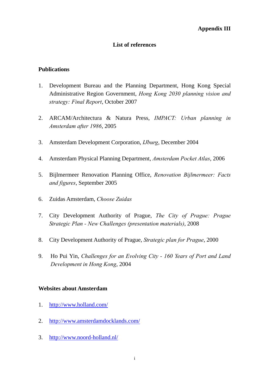# **List of references**

#### **Publications**

- 1. Development Bureau and the Planning Department, Hong Kong Special Administrative Region Government, *Hong Kong 2030 planning vision and strategy: Final Report*, October 2007
- 2. ARCAM/Architectura & Natura Press, *IMPACT: Urban planning in Amsterdam after 1986*, 2005
- 3. Amsterdam Development Corporation, *IJburg*, December 2004
- 4. Amsterdam Physical Planning Department, *Amsterdam Pocket Atlas*, 2006
- 5. Bijlmermeer Renovation Planning Office, *Renovation Bijlmermeer: Facts and figures*, September 2005
- 6. Zuidas Amsterdam, *Choose Zuidas*
- 7. City Development Authority of Prague, *The City of Prague: Prague Strategic Plan - New Challenges (presentation materials)*, 2008
- 8. City Development Authority of Prague, *Strategic plan for Prague*, 2000
- 9. Ho Pui Yin, *Challenges for an Evolving City 160 Years of Port and Land Development in Hong Kong*, 2004

#### **Websites about Amsterdam**

- 1. http://www.holland.com/
- 2. http://www.amsterdamdocklands.com/
- 3. http://www.noord-holland.nl/